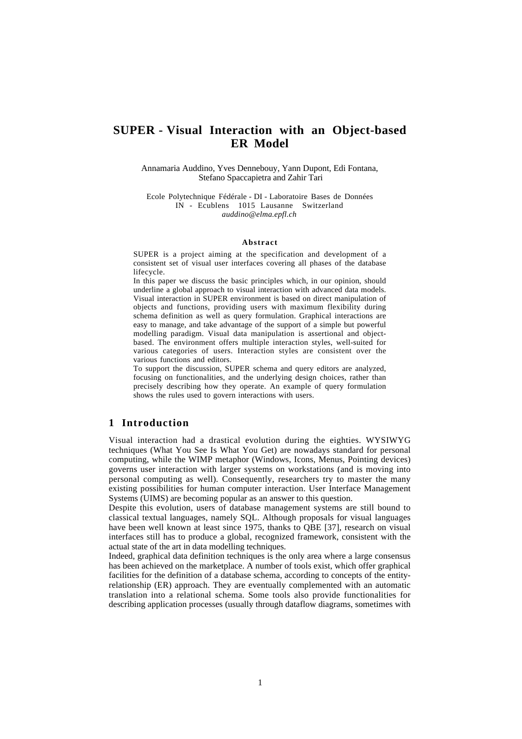# **SUPER - Visual Interaction with an Object-based ER Model**

Annamaria Auddino, Yves Dennebouy, Yann Dupont, Edi Fontana, Stefano Spaccapietra and Zahir Tari

Ecole Polytechnique Fédérale - DI - Laboratoire Bases de Données IN - Ecublens 1015 Lausanne Switzerland *auddino@elma.epfl.ch*

#### **Abstract**

SUPER is a project aiming at the specification and development of a consistent set of visual user interfaces covering all phases of the database lifecycle.

In this paper we discuss the basic principles which, in our opinion, should underline a global approach to visual interaction with advanced data models. Visual interaction in SUPER environment is based on direct manipulation of objects and functions, providing users with maximum flexibility during schema definition as well as query formulation. Graphical interactions are easy to manage, and take advantage of the support of a simple but powerful modelling paradigm. Visual data manipulation is assertional and objectbased. The environment offers multiple interaction styles, well-suited for various categories of users. Interaction styles are consistent over the various functions and editors.

To support the discussion, SUPER schema and query editors are analyzed, focusing on functionalities, and the underlying design choices, rather than precisely describing how they operate. An example of query formulation shows the rules used to govern interactions with users.

### **1 Introduction**

Visual interaction had a drastical evolution during the eighties. WYSIWYG techniques (What You See Is What You Get) are nowadays standard for personal computing, while the WIMP metaphor (Windows, Icons, Menus, Pointing devices) governs user interaction with larger systems on workstations (and is moving into personal computing as well). Consequently, researchers try to master the many existing possibilities for human computer interaction. User Interface Management Systems (UIMS) are becoming popular as an answer to this question.

Despite this evolution, users of database management systems are still bound to classical textual languages, namely SQL. Although proposals for visual languages have been well known at least since 1975, thanks to QBE [37], research on visual interfaces still has to produce a global, recognized framework, consistent with the actual state of the art in data modelling techniques.

Indeed, graphical data definition techniques is the only area where a large consensus has been achieved on the marketplace. A number of tools exist, which offer graphical facilities for the definition of a database schema, according to concepts of the entityrelationship (ER) approach. They are eventually complemented with an automatic translation into a relational schema. Some tools also provide functionalities for describing application processes (usually through dataflow diagrams, sometimes with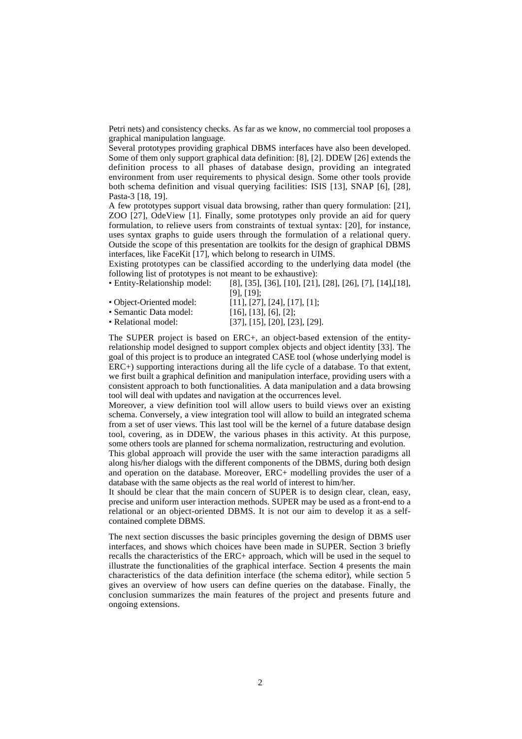Petri nets) and consistency checks. As far as we know, no commercial tool proposes a graphical manipulation language.

Several prototypes providing graphical DBMS interfaces have also been developed. Some of them only support graphical data definition: [8], [2]. DDEW [26] extends the definition process to all phases of database design, providing an integrated environment from user requirements to physical design. Some other tools provide both schema definition and visual querying facilities: ISIS [13], SNAP [6], [28], Pasta-3 [18, 19].

A few prototypes support visual data browsing, rather than query formulation: [21], ZOO [27], OdeView [1]. Finally, some prototypes only provide an aid for query formulation, to relieve users from constraints of textual syntax: [20], for instance, uses syntax graphs to guide users through the formulation of a relational query. Outside the scope of this presentation are toolkits for the design of graphical DBMS interfaces, like FaceKit [17], which belong to research in UIMS.

Existing prototypes can be classified according to the underlying data model (the following list of prototypes is not meant to be exhaustive):

| • Entity-Relationship model: | $[8]$ , [35], [36], [10], [21], [28], [26], [7], [14], [18], |
|------------------------------|--------------------------------------------------------------|
|                              | $[9]$ . $[19]$ :                                             |
| • Object-Oriented model:     | $[11]$ , $[27]$ , $[24]$ , $[17]$ , $[1]$ ;                  |
| • Semantic Data model:       | $[16]$ , $[13]$ , $[6]$ , $[2]$ ;                            |
| • Relational model:          | $[37]$ , $[15]$ , $[20]$ , $[23]$ , $[29]$ .                 |

The SUPER project is based on ERC+, an object-based extension of the entityrelationship model designed to support complex objects and object identity [33]. The goal of this project is to produce an integrated CASE tool (whose underlying model is ERC+) supporting interactions during all the life cycle of a database. To that extent, we first built a graphical definition and manipulation interface, providing users with a consistent approach to both functionalities. A data manipulation and a data browsing tool will deal with updates and navigation at the occurrences level.

Moreover, a view definition tool will allow users to build views over an existing schema. Conversely, a view integration tool will allow to build an integrated schema from a set of user views. This last tool will be the kernel of a future database design tool, covering, as in DDEW, the various phases in this activity. At this purpose, some others tools are planned for schema normalization, restructuring and evolution.

This global approach will provide the user with the same interaction paradigms all along his/her dialogs with the different components of the DBMS, during both design and operation on the database. Moreover, ERC+ modelling provides the user of a database with the same objects as the real world of interest to him/her.

It should be clear that the main concern of SUPER is to design clear, clean, easy, precise and uniform user interaction methods. SUPER may be used as a front-end to a relational or an object-oriented DBMS. It is not our aim to develop it as a selfcontained complete DBMS.

The next section discusses the basic principles governing the design of DBMS user interfaces, and shows which choices have been made in SUPER. Section 3 briefly recalls the characteristics of the ERC+ approach, which will be used in the sequel to illustrate the functionalities of the graphical interface. Section 4 presents the main characteristics of the data definition interface (the schema editor), while section 5 gives an overview of how users can define queries on the database. Finally, the conclusion summarizes the main features of the project and presents future and ongoing extensions.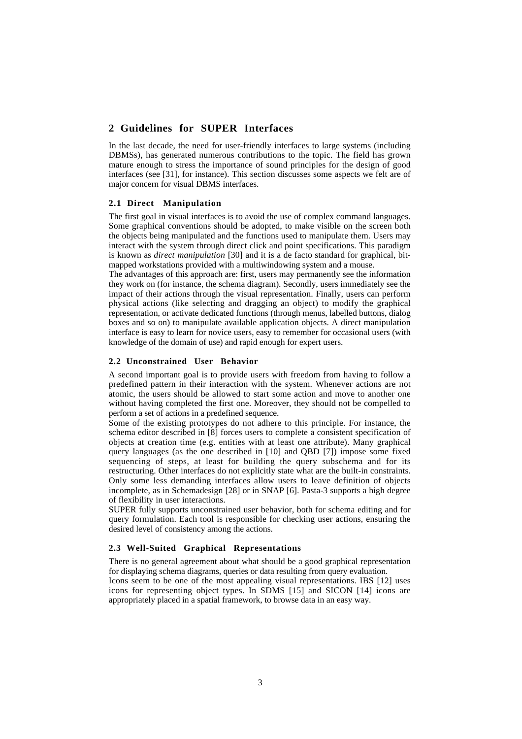## **2 Guidelines for SUPER Interfaces**

In the last decade, the need for user-friendly interfaces to large systems (including DBMSs), has generated numerous contributions to the topic. The field has grown mature enough to stress the importance of sound principles for the design of good interfaces (see [31], for instance). This section discusses some aspects we felt are of major concern for visual DBMS interfaces.

#### **2.1 Direct Manipulation**

The first goal in visual interfaces is to avoid the use of complex command languages. Some graphical conventions should be adopted, to make visible on the screen both the objects being manipulated and the functions used to manipulate them. Users may interact with the system through direct click and point specifications. This paradigm is known as *direct manipulation* [30] and it is a de facto standard for graphical, bitmapped workstations provided with a multiwindowing system and a mouse.

The advantages of this approach are: first, users may permanently see the information they work on (for instance, the schema diagram). Secondly, users immediately see the impact of their actions through the visual representation. Finally, users can perform physical actions (like selecting and dragging an object) to modify the graphical representation, or activate dedicated functions (through menus, labelled buttons, dialog boxes and so on) to manipulate available application objects. A direct manipulation interface is easy to learn for novice users, easy to remember for occasional users (with knowledge of the domain of use) and rapid enough for expert users.

#### **2.2 Unconstrained User Behavior**

A second important goal is to provide users with freedom from having to follow a predefined pattern in their interaction with the system. Whenever actions are not atomic, the users should be allowed to start some action and move to another one without having completed the first one. Moreover, they should not be compelled to perform a set of actions in a predefined sequence.

Some of the existing prototypes do not adhere to this principle. For instance, the schema editor described in [8] forces users to complete a consistent specification of objects at creation time (e.g. entities with at least one attribute). Many graphical query languages (as the one described in [10] and QBD [7]) impose some fixed sequencing of steps, at least for building the query subschema and for its restructuring. Other interfaces do not explicitly state what are the built-in constraints. Only some less demanding interfaces allow users to leave definition of objects incomplete, as in Schemadesign [28] or in SNAP [6]. Pasta-3 supports a high degree of flexibility in user interactions.

SUPER fully supports unconstrained user behavior, both for schema editing and for query formulation. Each tool is responsible for checking user actions, ensuring the desired level of consistency among the actions.

#### **2.3 Well-Suited Graphical Representations**

There is no general agreement about what should be a good graphical representation for displaying schema diagrams, queries or data resulting from query evaluation.

Icons seem to be one of the most appealing visual representations. IBS [12] uses icons for representing object types. In SDMS [15] and SICON [14] icons are appropriately placed in a spatial framework, to browse data in an easy way.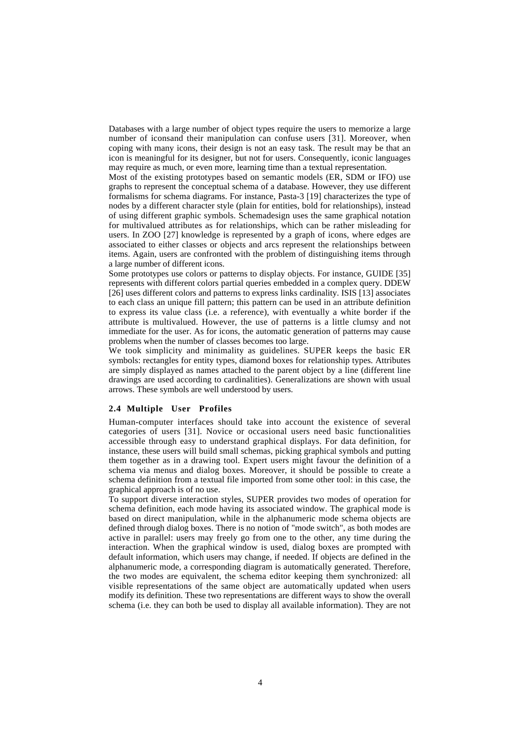Databases with a large number of object types require the users to memorize a large number of iconsand their manipulation can confuse users [31]. Moreover, when coping with many icons, their design is not an easy task. The result may be that an icon is meaningful for its designer, but not for users. Consequently, iconic languages may require as much, or even more, learning time than a textual representation.

Most of the existing prototypes based on semantic models (ER, SDM or IFO) use graphs to represent the conceptual schema of a database. However, they use different formalisms for schema diagrams. For instance, Pasta-3 [19] characterizes the type of nodes by a different character style (plain for entities, bold for relationships), instead of using different graphic symbols. Schemadesign uses the same graphical notation for multivalued attributes as for relationships, which can be rather misleading for users. In ZOO [27] knowledge is represented by a graph of icons, where edges are associated to either classes or objects and arcs represent the relationships between items. Again, users are confronted with the problem of distinguishing items through a large number of different icons.

Some prototypes use colors or patterns to display objects. For instance, GUIDE [35] represents with different colors partial queries embedded in a complex query. DDEW [26] uses different colors and patterns to express links cardinality. ISIS [13] associates to each class an unique fill pattern; this pattern can be used in an attribute definition to express its value class (i.e. a reference), with eventually a white border if the attribute is multivalued. However, the use of patterns is a little clumsy and not immediate for the user. As for icons, the automatic generation of patterns may cause problems when the number of classes becomes too large.

We took simplicity and minimality as guidelines. SUPER keeps the basic ER symbols: rectangles for entity types, diamond boxes for relationship types. Attributes are simply displayed as names attached to the parent object by a line (different line drawings are used according to cardinalities). Generalizations are shown with usual arrows. These symbols are well understood by users.

#### **2.4 Multiple User Profiles**

Human-computer interfaces should take into account the existence of several categories of users [31]. Novice or occasional users need basic functionalities accessible through easy to understand graphical displays. For data definition, for instance, these users will build small schemas, picking graphical symbols and putting them together as in a drawing tool. Expert users might favour the definition of a schema via menus and dialog boxes. Moreover, it should be possible to create a schema definition from a textual file imported from some other tool: in this case, the graphical approach is of no use.

To support diverse interaction styles, SUPER provides two modes of operation for schema definition, each mode having its associated window. The graphical mode is based on direct manipulation, while in the alphanumeric mode schema objects are defined through dialog boxes. There is no notion of "mode switch", as both modes are active in parallel: users may freely go from one to the other, any time during the interaction. When the graphical window is used, dialog boxes are prompted with default information, which users may change, if needed. If objects are defined in the alphanumeric mode, a corresponding diagram is automatically generated. Therefore, the two modes are equivalent, the schema editor keeping them synchronized: all visible representations of the same object are automatically updated when users modify its definition. These two representations are different ways to show the overall schema (i.e. they can both be used to display all available information). They are not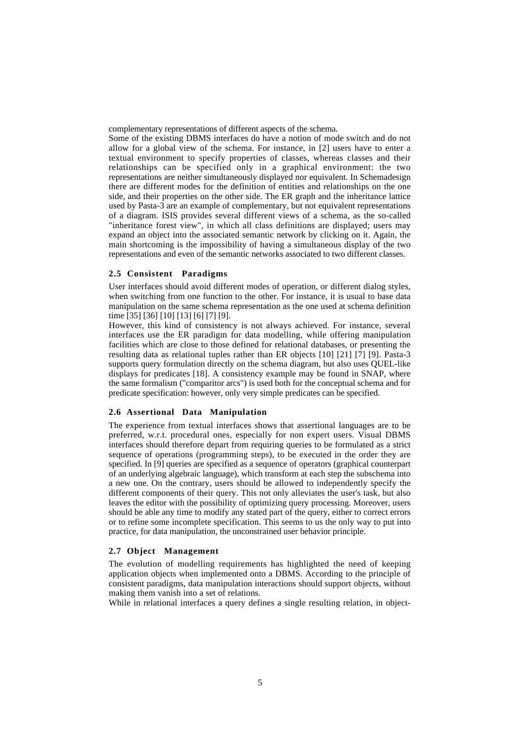complementary representations of different aspects of the schema.

Some of the existing DBMS interfaces do have a notion of mode switch and do not allow for a global view of the schema. For instance, in [2] users have to enter a textual environment to specify properties of classes, whereas classes and their relationships can be specified only in a graphical environment: the two representations are neither simultaneously displayed nor equivalent. In Schemadesign there are different modes for the definition of entities and relationships on the one side, and their properties on the other side. The ER graph and the inheritance lattice used by Pasta-3 are an example of complementary, but not equivalent representations of a diagram. ISIS provides several different views of a schema, as the so-called "inheritance forest view", in which all class definitions are displayed; users may expand an object into the associated semantic network by clicking on it. Again, the main shortcoming is the impossibility of having a simultaneous display of the two representations and even of the semantic networks associated to two different classes.

### **2.5 Consistent Paradigms**

User interfaces should avoid different modes of operation, or different dialog styles, when switching from one function to the other. For instance, it is usual to base data manipulation on the same schema representation as the one used at schema definition time [35] [36] [10] [13] [6] [7] [9].

However, this kind of consistency is not always achieved. For instance, several interfaces use the ER paradigm for data modelling, while offering manipulation facilities which are close to those defined for relational databases, or presenting the resulting data as relational tuples rather than ER objects [10] [21] [7] [9]. Pasta-3 supports query formulation directly on the schema diagram, but also uses QUEL-like displays for predicates [18]. A consistency example may be found in SNAP, where the same formalism ("comparitor arcs") is used both for the conceptual schema and for predicate specification: however, only very simple predicates can be specified.

### **2.6 Assertional Data Manipulation**

The experience from textual interfaces shows that assertional languages are to be preferred, w.r.t. procedural ones, especially for non expert users. Visual DBMS interfaces should therefore depart from requiring queries to be formulated as a strict sequence of operations (programming steps), to be executed in the order they are specified. In [9] queries are specified as a sequence of operators (graphical counterpart of an underlying algebraic language), which transform at each step the subschema into a new one. On the contrary, users should be allowed to independently specify the different components of their query. This not only alleviates the user's task, but also leaves the editor with the possibility of optimizing query processing. Moreover, users should be able any time to modify any stated part of the query, either to correct errors or to refine some incomplete specification. This seems to us the only way to put into practice, for data manipulation, the unconstrained user behavior principle.

### **2.7 Object Management**

The evolution of modelling requirements has highlighted the need of keeping application objects when implemented onto a DBMS. According to the principle of consistent paradigms, data manipulation interactions should support objects, without making them vanish into a set of relations.

While in relational interfaces a query defines a single resulting relation, in object-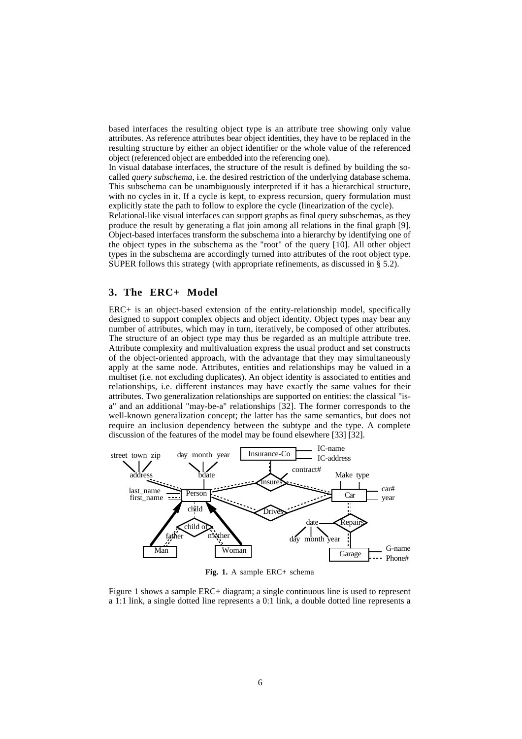based interfaces the resulting object type is an attribute tree showing only value attributes. As reference attributes bear object identities, they have to be replaced in the resulting structure by either an object identifier or the whole value of the referenced object (referenced object are embedded into the referencing one).

In visual database interfaces, the structure of the result is defined by building the socalled *query subschema*, i.e. the desired restriction of the underlying database schema. This subschema can be unambiguously interpreted if it has a hierarchical structure, with no cycles in it. If a cycle is kept, to express recursion, query formulation must explicitly state the path to follow to explore the cycle (linearization of the cycle).

Relational-like visual interfaces can support graphs as final query subschemas, as they produce the result by generating a flat join among all relations in the final graph [9]. Object-based interfaces transform the subschema into a hierarchy by identifying one of the object types in the subschema as the "root" of the query [10]. All other object types in the subschema are accordingly turned into attributes of the root object type. SUPER follows this strategy (with appropriate refinements, as discussed in § 5.2).

## **3. The ERC+ Model**

ERC+ is an object-based extension of the entity-relationship model, specifically designed to support complex objects and object identity. Object types may bear any number of attributes, which may in turn, iteratively, be composed of other attributes. The structure of an object type may thus be regarded as an multiple attribute tree. Attribute complexity and multivaluation express the usual product and set constructs of the object-oriented approach, with the advantage that they may simultaneously apply at the same node. Attributes, entities and relationships may be valued in a multiset (i.e. not excluding duplicates). An object identity is associated to entities and relationships, i.e. different instances may have exactly the same values for their attributes. Two generalization relationships are supported on entities: the classical "isa" and an additional "may-be-a" relationships [32]. The former corresponds to the well-known generalization concept; the latter has the same semantics, but does not require an inclusion dependency between the subtype and the type. A complete discussion of the features of the model may be found elsewhere [33] [32].



**Fig. 1.** A sample ERC+ schema

Figure 1 shows a sample ERC+ diagram; a single continuous line is used to represent a 1:1 link, a single dotted line represents a 0:1 link, a double dotted line represents a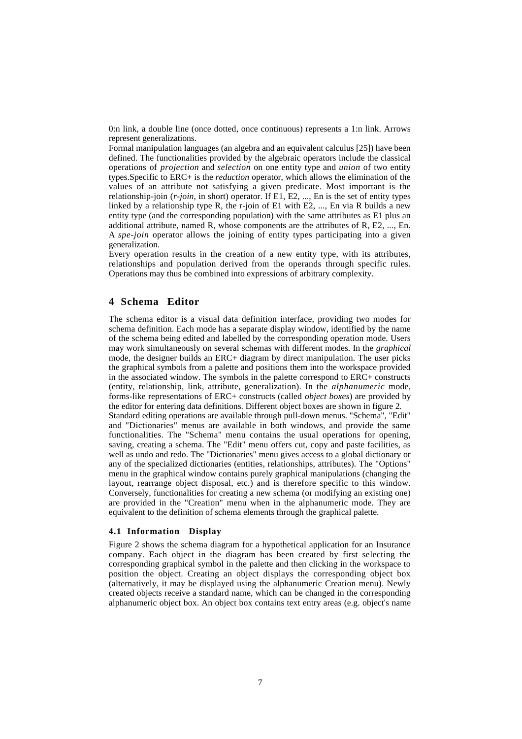0:n link, a double line (once dotted, once continuous) represents a 1:n link. Arrows represent generalizations.

Formal manipulation languages (an algebra and an equivalent calculus [25]) have been defined. The functionalities provided by the algebraic operators include the classical operations of *projection* and *selection* on one entity type and *union* of two entity types.Specific to ERC+ is the *reduction* operator, which allows the elimination of the values of an attribute not satisfying a given predicate. Most important is the relationship-join (*r-join*, in short) operator. If E1, E2, ..., En is the set of entity types linked by a relationship type R, the r-join of E1 with E2, ..., En via R builds a new entity type (and the corresponding population) with the same attributes as E1 plus an additional attribute, named R, whose components are the attributes of R, E2, ..., En. A *spe-join* operator allows the joining of entity types participating into a given generalization.

Every operation results in the creation of a new entity type, with its attributes, relationships and population derived from the operands through specific rules. Operations may thus be combined into expressions of arbitrary complexity.

## **4 Schema Editor**

The schema editor is a visual data definition interface, providing two modes for schema definition. Each mode has a separate display window, identified by the name of the schema being edited and labelled by the corresponding operation mode. Users may work simultaneously on several schemas with different modes. In the *graphical* mode, the designer builds an ERC+ diagram by direct manipulation. The user picks the graphical symbols from a palette and positions them into the workspace provided in the associated window. The symbols in the palette correspond to ERC+ constructs (entity, relationship, link, attribute, generalization). In the *alphanumeric* mode, forms-like representations of ERC+ constructs (called *object boxes*) are provided by the editor for entering data definitions. Different object boxes are shown in figure 2. Standard editing operations are available through pull-down menus. "Schema", "Edit" and "Dictionaries" menus are available in both windows, and provide the same functionalities. The "Schema" menu contains the usual operations for opening, saving, creating a schema. The "Edit" menu offers cut, copy and paste facilities, as well as undo and redo. The "Dictionaries" menu gives access to a global dictionary or any of the specialized dictionaries (entities, relationships, attributes). The "Options" menu in the graphical window contains purely graphical manipulations (changing the layout, rearrange object disposal, etc.) and is therefore specific to this window. Conversely, functionalities for creating a new schema (or modifying an existing one) are provided in the "Creation" menu when in the alphanumeric mode. They are equivalent to the definition of schema elements through the graphical palette.

#### **4.1 Information Display**

Figure 2 shows the schema diagram for a hypothetical application for an Insurance company. Each object in the diagram has been created by first selecting the corresponding graphical symbol in the palette and then clicking in the workspace to position the object. Creating an object displays the corresponding object box (alternatively, it may be displayed using the alphanumeric Creation menu). Newly created objects receive a standard name, which can be changed in the corresponding alphanumeric object box. An object box contains text entry areas (e.g. object's name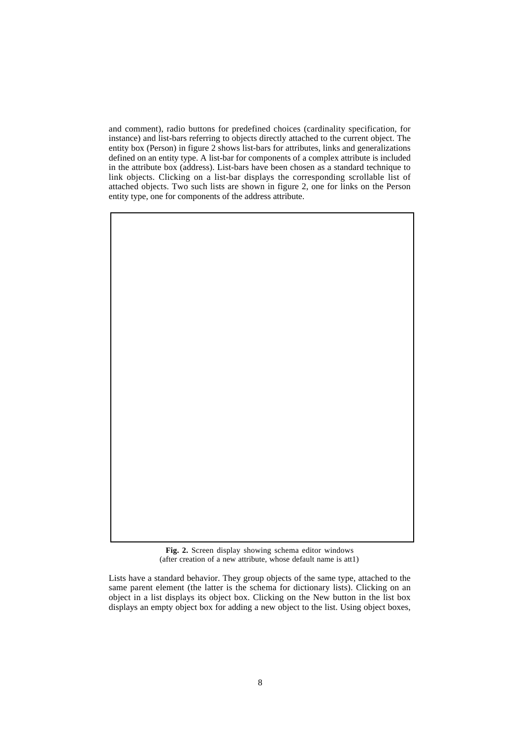and comment), radio buttons for predefined choices (cardinality specification, for instance) and list-bars referring to objects directly attached to the current object. The entity box (Person) in figure 2 shows list-bars for attributes, links and generalizations defined on an entity type. A list-bar for components of a complex attribute is included in the attribute box (address). List-bars have been chosen as a standard technique to link objects. Clicking on a list-bar displays the corresponding scrollable list of attached objects. Two such lists are shown in figure 2, one for links on the Person entity type, one for components of the address attribute.



**Fig. 2.** Screen display showing schema editor windows (after creation of a new attribute, whose default name is att1)

Lists have a standard behavior. They group objects of the same type, attached to the same parent element (the latter is the schema for dictionary lists). Clicking on an object in a list displays its object box. Clicking on the New button in the list box displays an empty object box for adding a new object to the list. Using object boxes,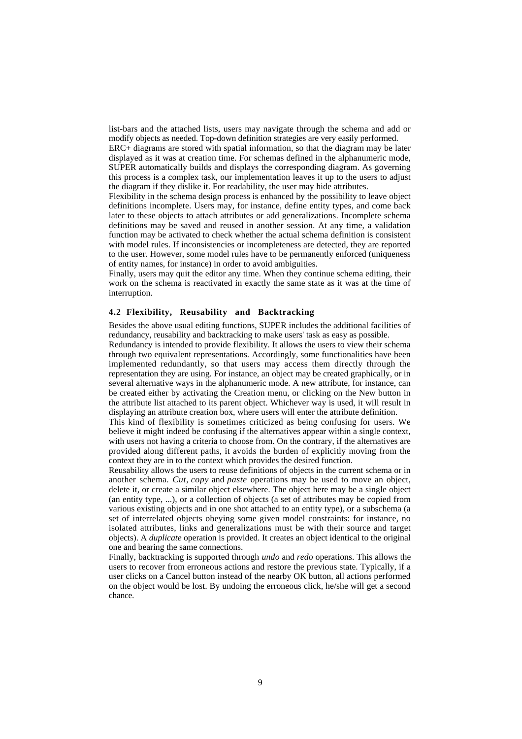list-bars and the attached lists, users may navigate through the schema and add or modify objects as needed. Top-down definition strategies are very easily performed.

ERC+ diagrams are stored with spatial information, so that the diagram may be later displayed as it was at creation time. For schemas defined in the alphanumeric mode, SUPER automatically builds and displays the corresponding diagram. As governing this process is a complex task, our implementation leaves it up to the users to adjust the diagram if they dislike it. For readability, the user may hide attributes.

Flexibility in the schema design process is enhanced by the possibility to leave object definitions incomplete. Users may, for instance, define entity types, and come back later to these objects to attach attributes or add generalizations. Incomplete schema definitions may be saved and reused in another session. At any time, a validation function may be activated to check whether the actual schema definition is consistent with model rules. If inconsistencies or incompleteness are detected, they are reported to the user. However, some model rules have to be permanently enforced (uniqueness of entity names, for instance) in order to avoid ambiguities.

Finally, users may quit the editor any time. When they continue schema editing, their work on the schema is reactivated in exactly the same state as it was at the time of interruption.

### **4.2 Flexibility, Reusability and Backtracking**

Besides the above usual editing functions, SUPER includes the additional facilities of redundancy, reusability and backtracking to make users' task as easy as possible.

Redundancy is intended to provide flexibility. It allows the users to view their schema through two equivalent representations. Accordingly, some functionalities have been implemented redundantly, so that users may access them directly through the representation they are using. For instance, an object may be created graphically, or in several alternative ways in the alphanumeric mode. A new attribute, for instance, can be created either by activating the Creation menu, or clicking on the New button in the attribute list attached to its parent object. Whichever way is used, it will result in displaying an attribute creation box, where users will enter the attribute definition.

This kind of flexibility is sometimes criticized as being confusing for users. We believe it might indeed be confusing if the alternatives appear within a single context, with users not having a criteria to choose from. On the contrary, if the alternatives are provided along different paths, it avoids the burden of explicitly moving from the context they are in to the context which provides the desired function.

Reusability allows the users to reuse definitions of objects in the current schema or in another schema. *Cut*, *copy* and *paste* operations may be used to move an object, delete it, or create a similar object elsewhere. The object here may be a single object (an entity type, ...), or a collection of objects (a set of attributes may be copied from various existing objects and in one shot attached to an entity type), or a subschema (a set of interrelated objects obeying some given model constraints: for instance, no isolated attributes, links and generalizations must be with their source and target objects). A *duplicate* operation is provided. It creates an object identical to the original one and bearing the same connections.

Finally, backtracking is supported through *undo* and *redo* operations. This allows the users to recover from erroneous actions and restore the previous state. Typically, if a user clicks on a Cancel button instead of the nearby OK button, all actions performed on the object would be lost. By undoing the erroneous click, he/she will get a second chance.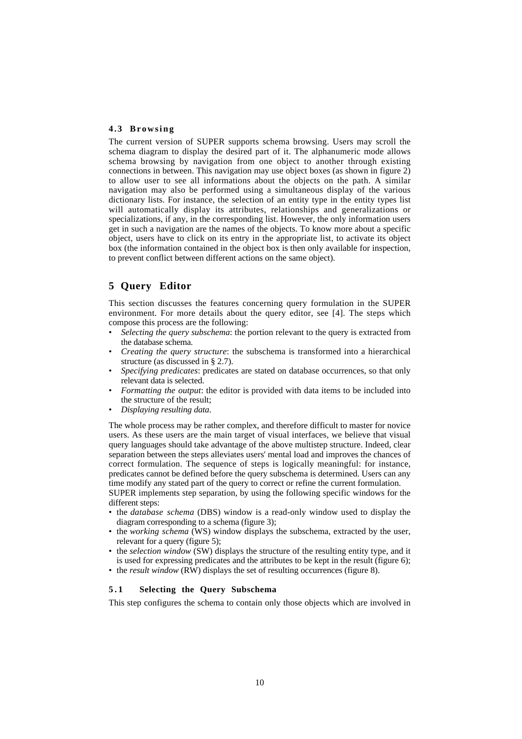### **4.3 Browsing**

The current version of SUPER supports schema browsing. Users may scroll the schema diagram to display the desired part of it. The alphanumeric mode allows schema browsing by navigation from one object to another through existing connections in between. This navigation may use object boxes (as shown in figure 2) to allow user to see all informations about the objects on the path. A similar navigation may also be performed using a simultaneous display of the various dictionary lists. For instance, the selection of an entity type in the entity types list will automatically display its attributes, relationships and generalizations or specializations, if any, in the corresponding list. However, the only information users get in such a navigation are the names of the objects. To know more about a specific object, users have to click on its entry in the appropriate list, to activate its object box (the information contained in the object box is then only available for inspection, to prevent conflict between different actions on the same object).

## **5 Query Editor**

This section discusses the features concerning query formulation in the SUPER environment. For more details about the query editor, see [4]. The steps which compose this process are the following:

- *Selecting the query subschema*: the portion relevant to the query is extracted from the database schema.
- *Creating the query structure*: the subschema is transformed into a hierarchical structure (as discussed in § 2.7).
- *Specifying predicates*: predicates are stated on database occurrences, so that only relevant data is selected.
- *Formatting the output*: the editor is provided with data items to be included into the structure of the result;
- *Displaying resulting data*.

The whole process may be rather complex, and therefore difficult to master for novice users. As these users are the main target of visual interfaces, we believe that visual query languages should take advantage of the above multistep structure. Indeed, clear separation between the steps alleviates users' mental load and improves the chances of correct formulation. The sequence of steps is logically meaningful: for instance, predicates cannot be defined before the query subschema is determined. Users can any time modify any stated part of the query to correct or refine the current formulation.

SUPER implements step separation, by using the following specific windows for the different steps:

- the *database schema* (DBS) window is a read-only window used to display the diagram corresponding to a schema (figure 3);
- the *working schema* (WS) window displays the subschema, extracted by the user, relevant for a query (figure 5);
- the *selection window* (SW) displays the structure of the resulting entity type, and it is used for expressing predicates and the attributes to be kept in the result (figure 6);
- the *result window* (RW) displays the set of resulting occurrences (figure 8).

### **5.1 Selecting the Query Subschema**

This step configures the schema to contain only those objects which are involved in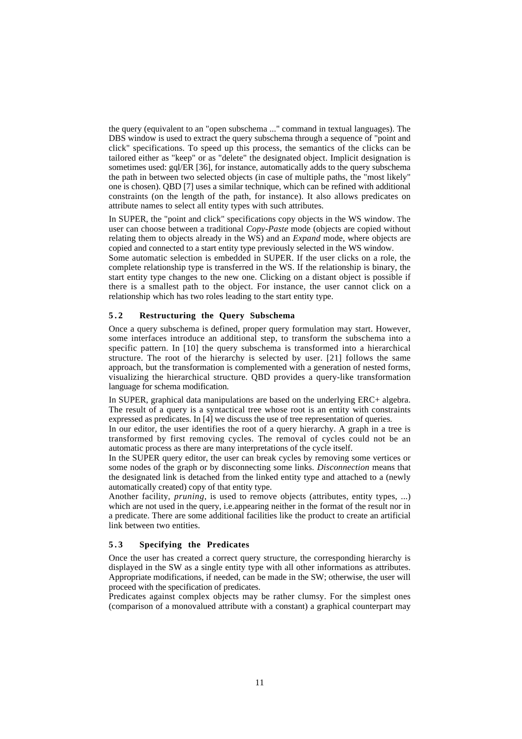the query (equivalent to an "open subschema ..." command in textual languages). The DBS window is used to extract the query subschema through a sequence of "point and click" specifications. To speed up this process, the semantics of the clicks can be tailored either as "keep" or as "delete" the designated object. Implicit designation is sometimes used: gql/ER [36], for instance, automatically adds to the query subschema the path in between two selected objects (in case of multiple paths, the "most likely" one is chosen). QBD [7] uses a similar technique, which can be refined with additional constraints (on the length of the path, for instance). It also allows predicates on attribute names to select all entity types with such attributes.

In SUPER, the "point and click" specifications copy objects in the WS window. The user can choose between a traditional *Copy-Paste* mode (objects are copied without relating them to objects already in the WS) and an *Expand* mode, where objects are copied and connected to a start entity type previously selected in the WS window.

Some automatic selection is embedded in SUPER. If the user clicks on a role, the complete relationship type is transferred in the WS. If the relationship is binary, the start entity type changes to the new one. Clicking on a distant object is possible if there is a smallest path to the object. For instance, the user cannot click on a relationship which has two roles leading to the start entity type.

#### **5.2 Restructuring the Query Subschema**

Once a query subschema is defined, proper query formulation may start. However, some interfaces introduce an additional step, to transform the subschema into a specific pattern. In [10] the query subschema is transformed into a hierarchical structure. The root of the hierarchy is selected by user. [21] follows the same approach, but the transformation is complemented with a generation of nested forms, visualizing the hierarchical structure. QBD provides a query-like transformation language for schema modification*.*

In SUPER, graphical data manipulations are based on the underlying ERC+ algebra. The result of a query is a syntactical tree whose root is an entity with constraints expressed as predicates. In [4] we discuss the use of tree representation of queries.

In our editor, the user identifies the root of a query hierarchy. A graph in a tree is transformed by first removing cycles. The removal of cycles could not be an automatic process as there are many interpretations of the cycle itself.

In the SUPER query editor, the user can break cycles by removing some vertices or some nodes of the graph or by disconnecting some links. *Disconnection* means that the designated link is detached from the linked entity type and attached to a (newly automatically created) copy of that entity type.

Another facility, *pruning*, is used to remove objects (attributes, entity types, ...) which are not used in the query, i.e.appearing neither in the format of the result nor in a predicate. There are some additional facilities like the product to create an artificial link between two entities.

#### **5.3 Specifying the Predicates**

Once the user has created a correct query structure, the corresponding hierarchy is displayed in the SW as a single entity type with all other informations as attributes. Appropriate modifications, if needed, can be made in the SW; otherwise, the user will proceed with the specification of predicates.

Predicates against complex objects may be rather clumsy. For the simplest ones (comparison of a monovalued attribute with a constant) a graphical counterpart may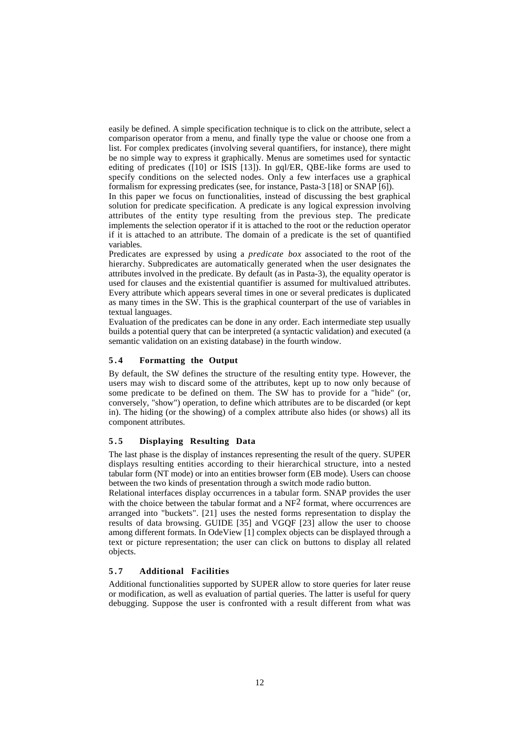easily be defined. A simple specification technique is to click on the attribute, select a comparison operator from a menu, and finally type the value or choose one from a list. For complex predicates (involving several quantifiers, for instance), there might be no simple way to express it graphically. Menus are sometimes used for syntactic editing of predicates ([10] or ISIS [13]). In gql/ER, QBE-like forms are used to specify conditions on the selected nodes. Only a few interfaces use a graphical formalism for expressing predicates (see, for instance, Pasta-3 [18] or SNAP [6]).

In this paper we focus on functionalities, instead of discussing the best graphical solution for predicate specification. A predicate is any logical expression involving attributes of the entity type resulting from the previous step. The predicate implements the selection operator if it is attached to the root or the reduction operator if it is attached to an attribute. The domain of a predicate is the set of quantified variables.

Predicates are expressed by using a *predicate box* associated to the root of the hierarchy. Subpredicates are automatically generated when the user designates the attributes involved in the predicate. By default (as in Pasta-3), the equality operator is used for clauses and the existential quantifier is assumed for multivalued attributes. Every attribute which appears several times in one or several predicates is duplicated as many times in the SW. This is the graphical counterpart of the use of variables in textual languages.

Evaluation of the predicates can be done in any order. Each intermediate step usually builds a potential query that can be interpreted (a syntactic validation) and executed (a semantic validation on an existing database) in the fourth window.

### **5.4 Formatting the Output**

By default, the SW defines the structure of the resulting entity type. However, the users may wish to discard some of the attributes, kept up to now only because of some predicate to be defined on them. The SW has to provide for a "hide" (or, conversely, "show") operation, to define which attributes are to be discarded (or kept in). The hiding (or the showing) of a complex attribute also hides (or shows) all its component attributes.

#### **5.5 Displaying Resulting Data**

The last phase is the display of instances representing the result of the query. SUPER displays resulting entities according to their hierarchical structure, into a nested tabular form (NT mode) or into an entities browser form (EB mode). Users can choose between the two kinds of presentation through a switch mode radio button.

Relational interfaces display occurrences in a tabular form. SNAP provides the user with the choice between the tabular format and a NF<sup>2</sup> format, where occurrences are arranged into "buckets". [21] uses the nested forms representation to display the results of data browsing. GUIDE [35] and VGQF [23] allow the user to choose among different formats. In OdeView [1] complex objects can be displayed through a text or picture representation; the user can click on buttons to display all related objects.

### **5.7 Additional Facilities**

Additional functionalities supported by SUPER allow to store queries for later reuse or modification, as well as evaluation of partial queries. The latter is useful for query debugging. Suppose the user is confronted with a result different from what was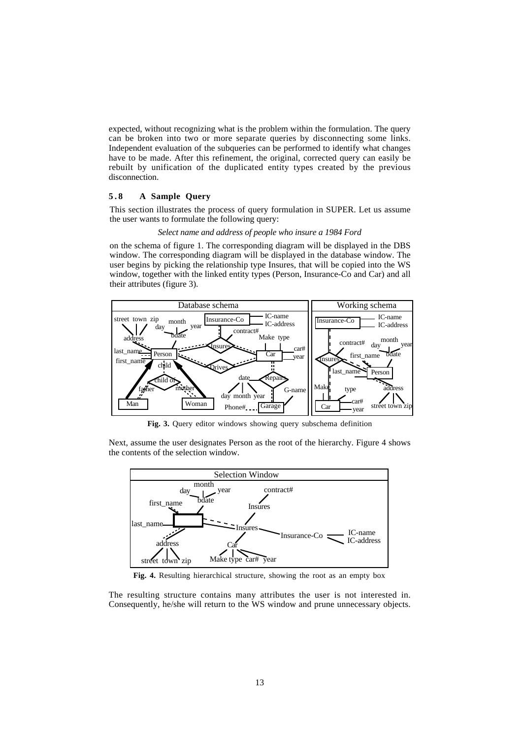expected, without recognizing what is the problem within the formulation. The query can be broken into two or more separate queries by disconnecting some links. Independent evaluation of the subqueries can be performed to identify what changes have to be made. After this refinement, the original, corrected query can easily be rebuilt by unification of the duplicated entity types created by the previous disconnection.

### **5.8 A Sample Query**

This section illustrates the process of query formulation in SUPER. Let us assume the user wants to formulate the following query:

#### *Select name and address of people who insure a 1984 Ford*

on the schema of figure 1. The corresponding diagram will be displayed in the DBS window. The corresponding diagram will be displayed in the database window. The user begins by picking the relationship type Insures, that will be copied into the WS window, together with the linked entity types (Person, Insurance-Co and Car) and all their attributes (figure 3).



**Fig. 3.** Query editor windows showing query subschema definition

Next, assume the user designates Person as the root of the hierarchy. Figure 4 shows the contents of the selection window.



**Fig. 4.** Resulting hierarchical structure, showing the root as an empty box

The resulting structure contains many attributes the user is not interested in. Consequently, he/she will return to the WS window and prune unnecessary objects.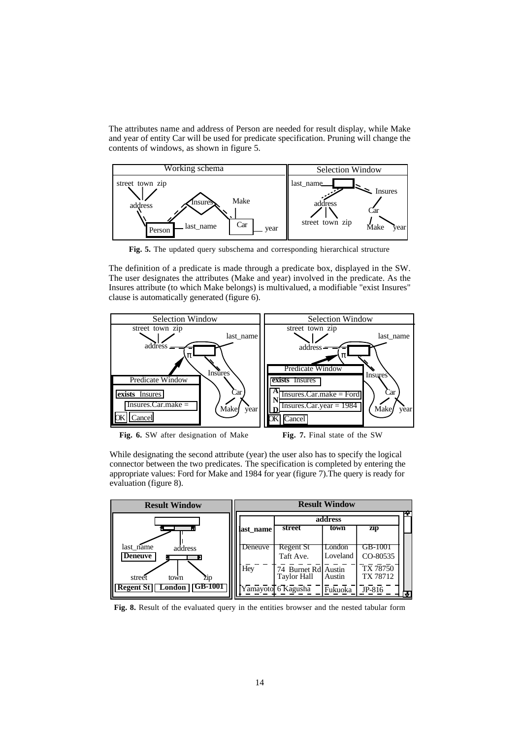The attributes name and address of Person are needed for result display, while Make and year of entity Car will be used for predicate specification. Pruning will change the contents of windows, as shown in figure 5.



**Fig. 5.** The updated query subschema and corresponding hierarchical structure

The definition of a predicate is made through a predicate box, displayed in the SW. The user designates the attributes (Make and year) involved in the predicate. As the Insures attribute (to which Make belongs) is multivalued, a modifiable "exist Insures" clause is automatically generated (figure 6).



**Fig. 6.** SW after designation of Make **Fig. 7.** Final state of the SW

While designating the second attribute (year) the user also has to specify the logical connector between the two predicates. The specification is completed by entering the appropriate values: Ford for Make and 1984 for year (figure 7).The query is ready for evaluation (figure 8).

| <b>Result Window</b>                         | <b>Result Window</b> |                                            |          |                      |  |
|----------------------------------------------|----------------------|--------------------------------------------|----------|----------------------|--|
|                                              | address              |                                            |          | m                    |  |
|                                              | last name            | street                                     | town     | zıp                  |  |
| last name<br>address                         | Deneuve              | Regent St                                  | London   | GB-1001              |  |
| <b>Deneuve</b>                               |                      | Taft Ave.                                  | Loveland | CO-80535             |  |
| 2ip<br>street<br>town                        | Hey                  | 74 Burnet Rdl Austin<br><b>Taylor Hall</b> | Austin   | TX 78750<br>TX 78712 |  |
| <b>GB-1001</b><br><b>Regent St</b><br>London |                      | Yamayotol 6 Kagusha                        | Fukuoka  | JP-816               |  |

**Fig. 8.** Result of the evaluated query in the entities browser and the nested tabular form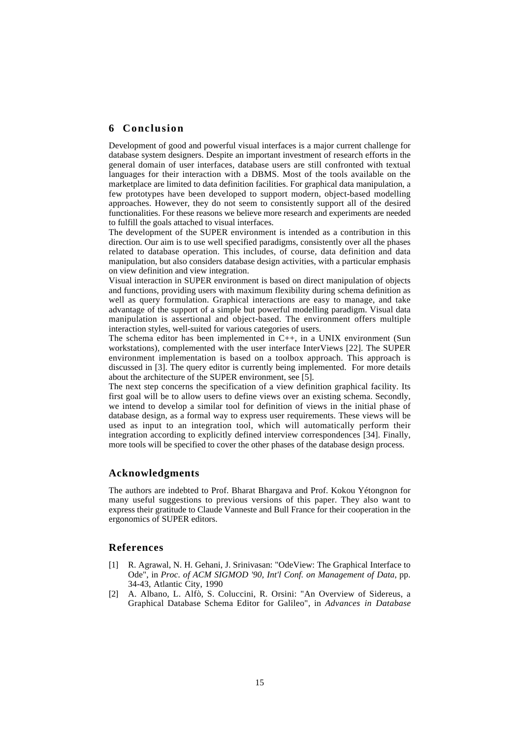## **6 Conclusion**

Development of good and powerful visual interfaces is a major current challenge for database system designers. Despite an important investment of research efforts in the general domain of user interfaces, database users are still confronted with textual languages for their interaction with a DBMS. Most of the tools available on the marketplace are limited to data definition facilities. For graphical data manipulation, a few prototypes have been developed to support modern, object-based modelling approaches. However, they do not seem to consistently support all of the desired functionalities. For these reasons we believe more research and experiments are needed to fulfill the goals attached to visual interfaces.

The development of the SUPER environment is intended as a contribution in this direction. Our aim is to use well specified paradigms, consistently over all the phases related to database operation. This includes, of course, data definition and data manipulation, but also considers database design activities, with a particular emphasis on view definition and view integration.

Visual interaction in SUPER environment is based on direct manipulation of objects and functions, providing users with maximum flexibility during schema definition as well as query formulation. Graphical interactions are easy to manage, and take advantage of the support of a simple but powerful modelling paradigm. Visual data manipulation is assertional and object-based. The environment offers multiple interaction styles, well-suited for various categories of users.

The schema editor has been implemented in C++, in a UNIX environment (Sun workstations), complemented with the user interface InterViews [22]. The SUPER environment implementation is based on a toolbox approach. This approach is discussed in [3]. The query editor is currently being implemented. For more details about the architecture of the SUPER environment, see [5].

The next step concerns the specification of a view definition graphical facility. Its first goal will be to allow users to define views over an existing schema. Secondly, we intend to develop a similar tool for definition of views in the initial phase of database design, as a formal way to express user requirements. These views will be used as input to an integration tool, which will automatically perform their integration according to explicitly defined interview correspondences [34]. Finally, more tools will be specified to cover the other phases of the database design process.

### **Acknowledgments**

The authors are indebted to Prof. Bharat Bhargava and Prof. Kokou Yétongnon for many useful suggestions to previous versions of this paper. They also want to express their gratitude to Claude Vanneste and Bull France for their cooperation in the ergonomics of SUPER editors.

#### **References**

- [1] R. Agrawal, N. H. Gehani, J. Srinivasan: "OdeView: The Graphical Interface to Ode", in *Proc. of ACM SIGMOD '90, Int'l Conf. on Management of Data*, pp. 34-43, Atlantic City, 1990
- [2] A. Albano, L. Alfò, S. Coluccini, R. Orsini: "An Overview of Sidereus, a Graphical Database Schema Editor for Galileo", in *Advances in Database*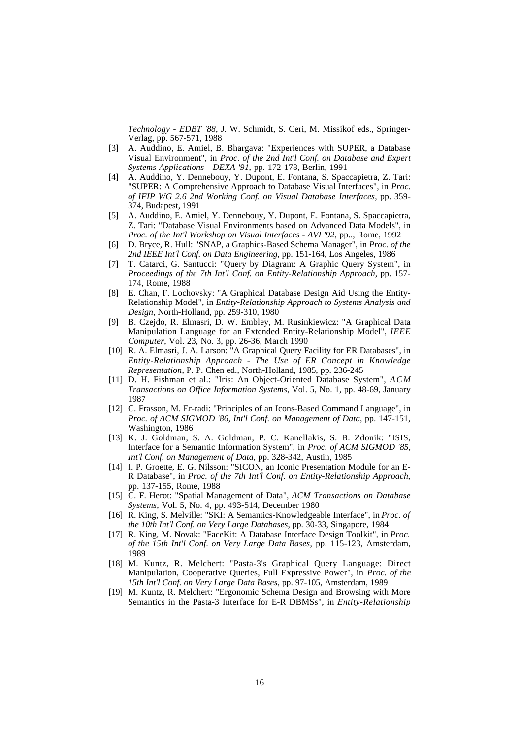*Technology - EDBT '88*, J. W. Schmidt, S. Ceri, M. Missikof eds., Springer-Verlag, pp. 567-571, 1988

- [3] A. Auddino, E. Amiel, B. Bhargava: "Experiences with SUPER, a Database Visual Environment", in *Proc. of the 2nd Int'l Conf. on Database and Expert Systems Applications - DEXA '91*, pp. 172-178, Berlin, 1991
- [4] A. Auddino, Y. Dennebouy, Y. Dupont, E. Fontana, S. Spaccapietra, Z. Tari: "SUPER: A Comprehensive Approach to Database Visual Interfaces", in *Proc. of IFIP WG 2.6 2nd Working Conf. on Visual Database Interfaces*, pp. 359- 374, Budapest, 1991
- [5] A. Auddino, E. Amiel, Y. Dennebouy, Y. Dupont, E. Fontana, S. Spaccapietra, Z. Tari: "Database Visual Environments based on Advanced Data Models", in *Proc. of the Int'l Workshop on Visual Interfaces - AVI '92*, pp.., Rome, 1992
- [6] D. Bryce, R. Hull: "SNAP, a Graphics-Based Schema Manager", in *Proc. of the 2nd IEEE Int'l Conf. on Data Engineering*, pp. 151-164, Los Angeles, 1986
- [7] T. Catarci, G. Santucci: "Query by Diagram: A Graphic Query System", in *Proceedings of the 7th Int'l Conf. on Entity-Relationship Approach*, pp. 157- 174, Rome, 1988
- [8] E. Chan, F. Lochovsky: "A Graphical Database Design Aid Using the Entity-Relationship Model", in *Entity-Relationship Approach to Systems Analysis and Design*, North-Holland, pp. 259-310, 1980
- [9] B. Czejdo, R. Elmasri, D. W. Embley, M. Rusinkiewicz: "A Graphical Data Manipulation Language for an Extended Entity-Relationship Model", *IEEE Computer*, Vol. 23, No. 3, pp. 26-36, March 1990
- [10] R. A. Elmasri, J. A. Larson: "A Graphical Query Facility for ER Databases", in *Entity-Relationship Approach - The Use of ER Concept in Knowledge Representation*, P. P. Chen ed., North-Holland, 1985, pp. 236-245
- [11] D. H. Fishman et al.: "Iris: An Object-Oriented Database System", *ACM Transactions on Office Information Systems*, Vol. 5, No. 1, pp. 48-69, January 1987
- [12] C. Frasson, M. Er-radi: "Principles of an Icons-Based Command Language", in *Proc. of ACM SIGMOD '86, Int'l Conf. on Management of Data*, pp. 147-151, Washington, 1986
- [13] K. J. Goldman, S. A. Goldman, P. C. Kanellakis, S. B. Zdonik: "ISIS, Interface for a Semantic Information System", in *Proc. of ACM SIGMOD '85, Int'l Conf. on Management of Data*, pp. 328-342, Austin, 1985
- [14] I. P. Groette, E. G. Nilsson: "SICON, an Iconic Presentation Module for an E-R Database", in *Proc. of the 7th Int'l Conf. on Entity-Relationship Approach*, pp. 137-155, Rome, 1988
- [15] C. F. Herot: "Spatial Management of Data", *ACM Transactions on Database Systems*, Vol. 5, No. 4, pp. 493-514, December 1980
- [16] R. King, S. Melville: "SKI: A Semantics-Knowledgeable Interface", in *Proc. of the 10th Int'l Conf. on Very Large Databases*, pp. 30-33, Singapore, 1984
- [17] R. King, M. Novak: "FaceKit: A Database Interface Design Toolkit", in *Proc. of the 15th Int'l Conf. on Very Large Data Bases*, pp. 115-123, Amsterdam, 1989
- [18] M. Kuntz, R. Melchert: "Pasta-3's Graphical Query Language: Direct Manipulation, Cooperative Queries, Full Expressive Power", in *Proc. of the 15th Int'l Conf. on Very Large Data Bases*, pp. 97-105, Amsterdam, 1989
- [19] M. Kuntz, R. Melchert: "Ergonomic Schema Design and Browsing with More Semantics in the Pasta-3 Interface for E-R DBMSs", in *Entity-Relationship*